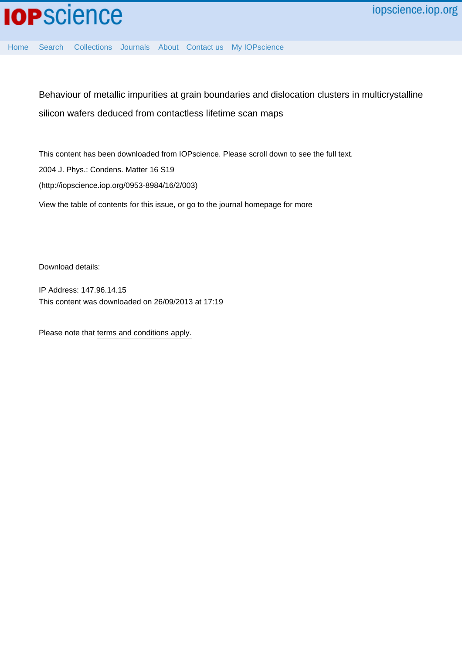Behaviour of metallic impurities at grain boundaries and dislocation clusters in multicrystalline silicon wafers deduced from contactless lifetime scan maps

This content has been downloaded from IOPscience. Please scroll down to see the full text. 2004 J. Phys.: Condens. Matter 16 S19 (http://iopscience.iop.org/0953-8984/16/2/003) View [the table of contents for this issue](http://iopscience.iop.org/0953-8984/16/2), or go to the [journal homepage](http://iopscience.iop.org/0953-8984) for more

Download details:

IP Address: 147.96.14.15 This content was downloaded on 26/09/2013 at 17:19

[Home](http://iopscience.iop.org/) [Search](http://iopscience.iop.org/search) [Collections](http://iopscience.iop.org/collections) [Journals](http://iopscience.iop.org/journals) [About](http://iopscience.iop.org/page/aboutioppublishing) [Contact us](http://iopscience.iop.org/contact) [My IOPscience](http://iopscience.iop.org/myiopscience)

Please note that [terms and conditions apply.](iopscience.iop.org/page/terms)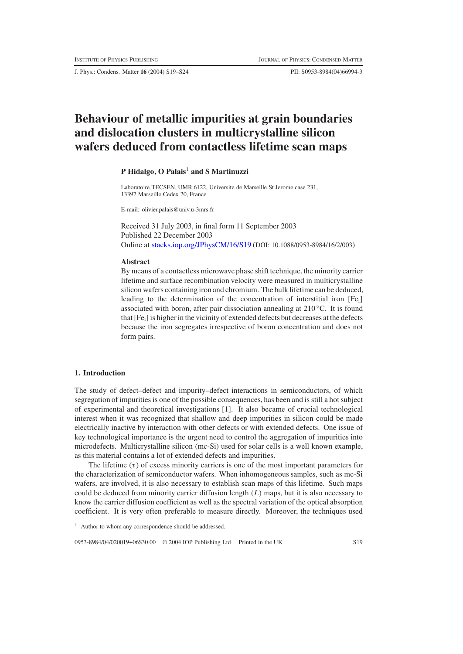J. Phys.: Condens. Matter **16** (2004) S19–S24 PII: S0953-8984(04)66994-3

# **Behaviour of metallic impurities at grain boundaries and dislocation clusters in multicrystalline silicon wafers deduced from contactless lifetime scan maps**

## **P Hidalgo, O Palais**<sup>1</sup> **and S Martinuzzi**

Laboratoire TECSEN, UMR 6122, Universite de Marseille St Jerome case 231, 13397 Marseille Cedex 20, France

E-mail: olivier.palais@univ.u-3mrs.fr

Received 31 July 2003, in final form 11 September 2003 Published 22 December 2003 Online at [stacks.iop.org/JPhysCM/16/S19](http://stacks.iop.org/JPhysCM/16/S19) (DOI: 10.1088/0953-8984/16/2/003)

#### **Abstract**

By means of a contactless microwave phase shift technique, the minority carrier lifetime and surface recombination velocity were measured in multicrystalline silicon wafers containing iron and chromium. The bulk lifetime can be deduced, leading to the determination of the concentration of interstitial iron  $[Fe_i]$ associated with boron, after pair dissociation annealing at 210 ◦C. It is found that  $[Fe_i]$  is higher in the vicinity of extended defects but decreases at the defects because the iron segregates irrespective of boron concentration and does not form pairs.

## **1. Introduction**

The study of defect–defect and impurity–defect interactions in semiconductors, of which segregation of impurities is one of the possible consequences, has been and is still a hot subject of experimental and theoretical investigations [1]. It also became of crucial technological interest when it was recognized that shallow and deep impurities in silicon could be made electrically inactive by interaction with other defects or with extended defects. One issue of key technological importance is the urgent need to control the aggregation of impurities into microdefects. Multicrystalline silicon (mc-Si) used for solar cells is a well known example, as this material contains a lot of extended defects and impurities.

The lifetime  $(\tau)$  of excess minority carriers is one of the most important parameters for the characterization of semiconductor wafers. When inhomogeneous samples, such as mc-Si wafers, are involved, it is also necessary to establish scan maps of this lifetime. Such maps could be deduced from minority carrier diffusion length (*L*) maps, but it is also necessary to know the carrier diffusion coefficient as well as the spectral variation of the optical absorption coefficient. It is very often preferable to measure directly. Moreover, the techniques used

0953-8984/04/020019+06\$30.00 © 2004 IOP Publishing Ltd Printed in the UK S19

<sup>&</sup>lt;sup>1</sup> Author to whom any correspondence should be addressed.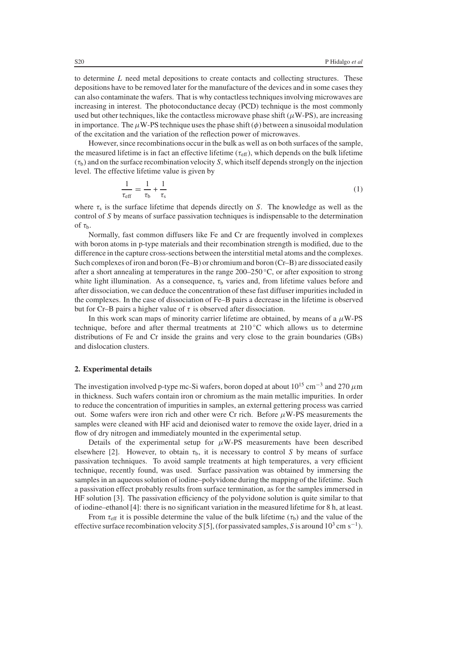to determine *L* need metal depositions to create contacts and collecting structures. These depositions have to be removed later for the manufacture of the devices and in some cases they can also contaminate the wafers. That is why contactless techniques involving microwaves are increasing in interest. The photoconductance decay (PCD) technique is the most commonly used but other techniques, like the contactless microwave phase shift  $(\mu$ W-PS), are increasing in importance. The  $\mu$ W-PS technique uses the phase shift ( $\phi$ ) between a sinusoidal modulation of the excitation and the variation of the reflection power of microwaves.

However, since recombinations occur in the bulk as well as on both surfaces of the sample, the measured lifetime is in fact an effective lifetime ( $\tau_{\text{eff}}$ ), which depends on the bulk lifetime  $(\tau_b)$  and on the surface recombination velocity *S*, which itself depends strongly on the injection level. The effective lifetime value is given by

$$
\frac{1}{\tau_{\text{eff}}} = \frac{1}{\tau_b} + \frac{1}{\tau_s} \tag{1}
$$

where  $\tau_s$  is the surface lifetime that depends directly on *S*. The knowledge as well as the control of *S* by means of surface passivation techniques is indispensable to the determination of  $\tau_{b}$ .

Normally, fast common diffusers like Fe and Cr are frequently involved in complexes with boron atoms in p-type materials and their recombination strength is modified, due to the difference in the capture cross-sections between the interstitial metal atoms and the complexes. Such complexes of iron and boron (Fe–B) or chromium and boron (Cr–B) are dissociated easily after a short annealing at temperatures in the range  $200-250$  °C, or after exposition to strong white light illumination. As a consequence,  $\tau_b$  varies and, from lifetime values before and after dissociation, we can deduce the concentration of these fast diffuser impurities included in the complexes. In the case of dissociation of Fe–B pairs a decrease in the lifetime is observed but for Cr–B pairs a higher value of  $\tau$  is observed after dissociation.

In this work scan maps of minority carrier lifetime are obtained, by means of a  $\mu$ W-PS technique, before and after thermal treatments at  $210\degree C$  which allows us to determine distributions of Fe and Cr inside the grains and very close to the grain boundaries (GBs) and dislocation clusters.

#### **2. Experimental details**

The investigation involved p-type mc-Si wafers, boron doped at about  $10^{15}$  cm<sup>-3</sup> and 270  $\mu$ m in thickness. Such wafers contain iron or chromium as the main metallic impurities. In order to reduce the concentration of impurities in samples, an external gettering process was carried out. Some wafers were iron rich and other were Cr rich. Before  $\mu$ W-PS measurements the samples were cleaned with HF acid and deionised water to remove the oxide layer, dried in a flow of dry nitrogen and immediately mounted in the experimental setup.

Details of the experimental setup for  $\mu$ W-PS measurements have been described elsewhere [2]. However, to obtain  $\tau_b$ , it is necessary to control *S* by means of surface passivation techniques. To avoid sample treatments at high temperatures, a very efficient technique, recently found, was used. Surface passivation was obtained by immersing the samples in an aqueous solution of iodine–polyvidone during the mapping of the lifetime. Such a passivation effect probably results from surface termination, as for the samples immersed in HF solution [3]. The passivation efficiency of the polyvidone solution is quite similar to that of iodine–ethanol [4]: there is no significant variation in the measured lifetime for 8 h, at least.

From  $\tau_{\rm eff}$  it is possible determine the value of the bulk lifetime ( $\tau_{\rm b}$ ) and the value of the effective surface recombination velocity *S*[5], (for passivated samples, *S* is around 10<sup>3</sup> cm s<sup>−1</sup>).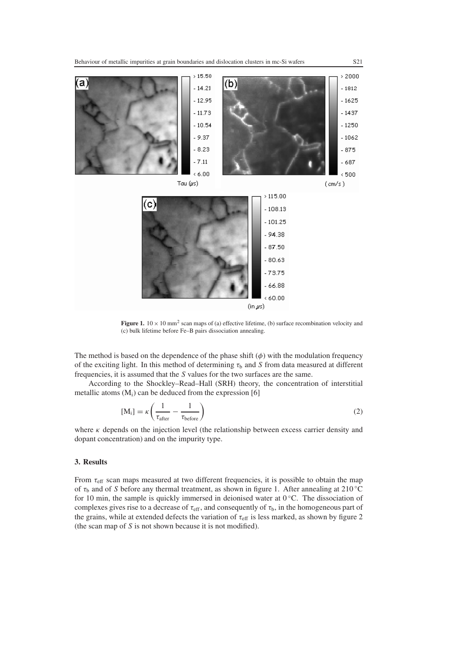

**Figure 1.**  $10 \times 10$  mm<sup>2</sup> scan maps of (a) effective lifetime, (b) surface recombination velocity and (c) bulk lifetime before Fe–B pairs dissociation annealing.

The method is based on the dependence of the phase shift  $(\phi)$  with the modulation frequency of the exciting light. In this method of determining  $\tau_b$  and *S* from data measured at different frequencies, it is assumed that the *S* values for the two surfaces are the same.

According to the Shockley–Read–Hall (SRH) theory, the concentration of interstitial metallic atoms  $(M<sub>i</sub>)$  can be deduced from the expression [6]

$$
[M_i] = \kappa \left( \frac{1}{\tau_{after}} - \frac{1}{\tau_{before}} \right)
$$
 (2)

where  $\kappa$  depends on the injection level (the relationship between excess carrier density and dopant concentration) and on the impurity type.

#### **3. Results**

From  $\tau_{\text{eff}}$  scan maps measured at two different frequencies, it is possible to obtain the map of τ<sup>b</sup> and of *S* before any thermal treatment, as shown in figure 1. After annealing at 210 ◦C for 10 min, the sample is quickly immersed in deionised water at 0 ◦C. The dissociation of complexes gives rise to a decrease of  $\tau_{\text{eff}}$ , and consequently of  $\tau_{\text{b}}$ , in the homogeneous part of the grains, while at extended defects the variation of  $\tau_{\text{eff}}$  is less marked, as shown by figure 2 (the scan map of *S* is not shown because it is not modified).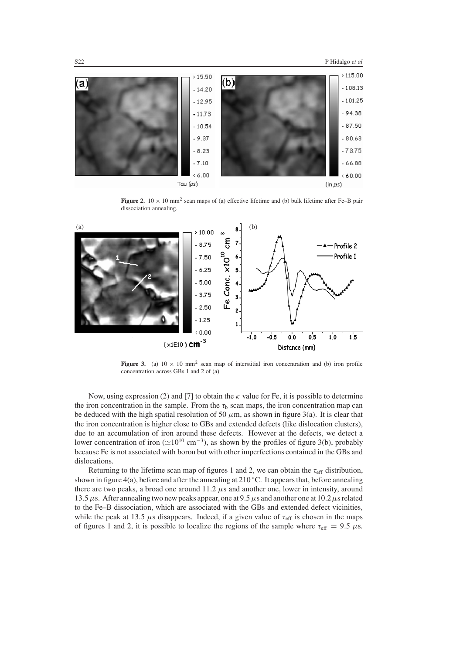

**Figure 2.**  $10 \times 10$  mm<sup>2</sup> scan maps of (a) effective lifetime and (b) bulk lifetime after Fe–B pair dissociation annealing.



**Figure 3.** (a)  $10 \times 10$  mm<sup>2</sup> scan map of interstitial iron concentration and (b) iron profile concentration across GBs 1 and 2 of (a).

Now, using expression (2) and [7] to obtain the  $\kappa$  value for Fe, it is possible to determine the iron concentration in the sample. From the  $\tau_b$  scan maps, the iron concentration map can be deduced with the high spatial resolution of 50  $\mu$ m, as shown in figure 3(a). It is clear that the iron concentration is higher close to GBs and extended defects (like dislocation clusters), due to an accumulation of iron around these defects. However at the defects, we detect a lower concentration of iron ( $\simeq 10^{10}$  cm<sup>-3</sup>), as shown by the profiles of figure 3(b), probably because Fe is not associated with boron but with other imperfections contained in the GBs and dislocations.

Returning to the lifetime scan map of figures 1 and 2, we can obtain the  $\tau_{\text{eff}}$  distribution, shown in figure 4(a), before and after the annealing at  $210\,^{\circ}$ C. It appears that, before annealing there are two peaks, a broad one around  $11.2 \mu s$  and another one, lower in intensity, around 13.5  $\mu$ s. After annealing two new peaks appear, one at 9.5  $\mu$ s and another one at 10.2  $\mu$ s related to the Fe–B dissociation, which are associated with the GBs and extended defect vicinities, while the peak at 13.5  $\mu$ s disappears. Indeed, if a given value of  $\tau_{\text{eff}}$  is chosen in the maps of figures 1 and 2, it is possible to localize the regions of the sample where  $\tau_{\text{eff}} = 9.5 \mu s$ .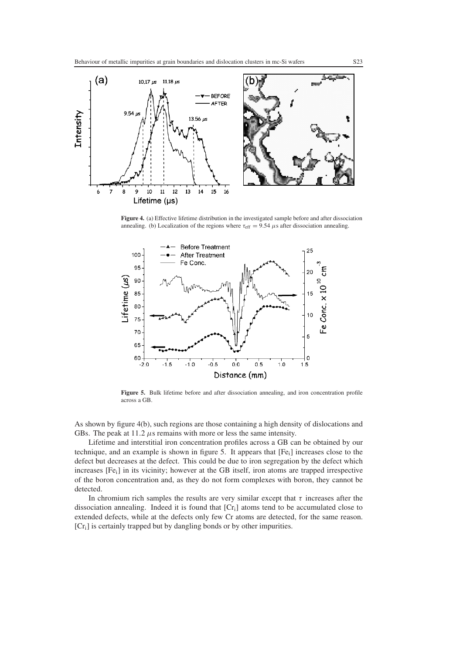

**Figure 4.** (a) Effective lifetime distribution in the investigated sample before and after dissociation annealing. (b) Localization of the regions where  $\tau_{\text{eff}} = 9.54 \ \mu s$  after dissociation annealing.



Figure 5. Bulk lifetime before and after dissociation annealing, and iron concentration profile across a GB.

As shown by figure 4(b), such regions are those containing a high density of dislocations and GBs. The peak at  $11.2 \mu s$  remains with more or less the same intensity.

Lifetime and interstitial iron concentration profiles across a GB can be obtained by our technique, and an example is shown in figure 5. It appears that  $[Fe_i]$  increases close to the defect but decreases at the defect. This could be due to iron segregation by the defect which increases  $[Fe_i]$  in its vicinity; however at the GB itself, iron atoms are trapped irrespective of the boron concentration and, as they do not form complexes with boron, they cannot be detected.

In chromium rich samples the results are very similar except that  $\tau$  increases after the dissociation annealing. Indeed it is found that [Cri] atoms tend to be accumulated close to extended defects, while at the defects only few Cr atoms are detected, for the same reason. [Cr<sub>i</sub>] is certainly trapped but by dangling bonds or by other impurities.